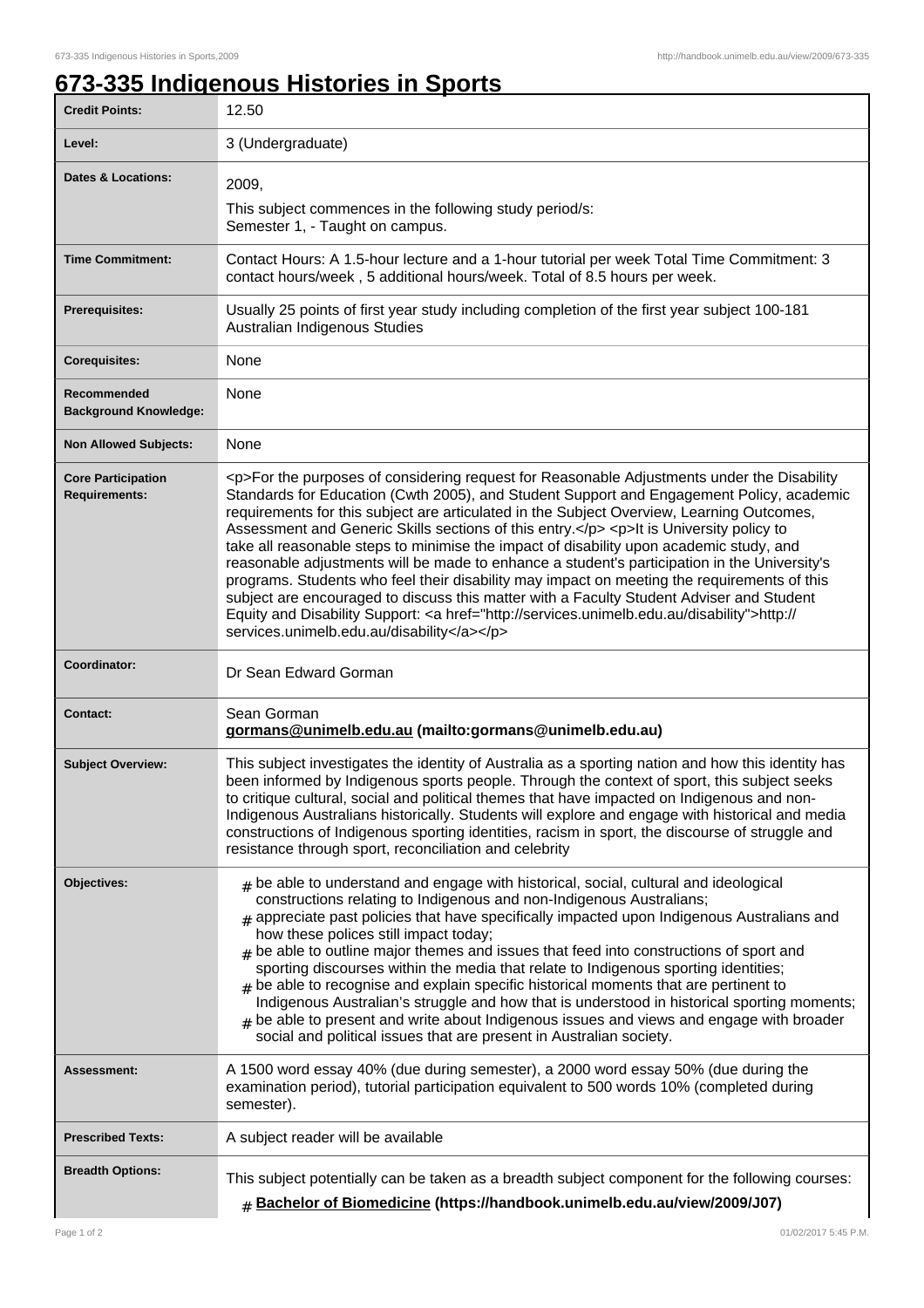٦

## **673-335 Indigenous Histories in Sports**

| <b>Credit Points:</b>                             | 12.50                                                                                                                                                                                                                                                                                                                                                                                                                                                                                                                                                                                                                                                                                                                                                                                                                                                                                                                        |
|---------------------------------------------------|------------------------------------------------------------------------------------------------------------------------------------------------------------------------------------------------------------------------------------------------------------------------------------------------------------------------------------------------------------------------------------------------------------------------------------------------------------------------------------------------------------------------------------------------------------------------------------------------------------------------------------------------------------------------------------------------------------------------------------------------------------------------------------------------------------------------------------------------------------------------------------------------------------------------------|
| Level:                                            | 3 (Undergraduate)                                                                                                                                                                                                                                                                                                                                                                                                                                                                                                                                                                                                                                                                                                                                                                                                                                                                                                            |
| <b>Dates &amp; Locations:</b>                     | 2009,<br>This subject commences in the following study period/s:<br>Semester 1, - Taught on campus.                                                                                                                                                                                                                                                                                                                                                                                                                                                                                                                                                                                                                                                                                                                                                                                                                          |
| <b>Time Commitment:</b>                           | Contact Hours: A 1.5-hour lecture and a 1-hour tutorial per week Total Time Commitment: 3<br>contact hours/week, 5 additional hours/week. Total of 8.5 hours per week.                                                                                                                                                                                                                                                                                                                                                                                                                                                                                                                                                                                                                                                                                                                                                       |
| <b>Prerequisites:</b>                             | Usually 25 points of first year study including completion of the first year subject 100-181<br>Australian Indigenous Studies                                                                                                                                                                                                                                                                                                                                                                                                                                                                                                                                                                                                                                                                                                                                                                                                |
| <b>Corequisites:</b>                              | None                                                                                                                                                                                                                                                                                                                                                                                                                                                                                                                                                                                                                                                                                                                                                                                                                                                                                                                         |
| Recommended<br><b>Background Knowledge:</b>       | None                                                                                                                                                                                                                                                                                                                                                                                                                                                                                                                                                                                                                                                                                                                                                                                                                                                                                                                         |
| <b>Non Allowed Subjects:</b>                      | None                                                                                                                                                                                                                                                                                                                                                                                                                                                                                                                                                                                                                                                                                                                                                                                                                                                                                                                         |
| <b>Core Participation</b><br><b>Requirements:</b> | <p>For the purposes of considering request for Reasonable Adjustments under the Disability<br/>Standards for Education (Cwth 2005), and Student Support and Engagement Policy, academic<br/>requirements for this subject are articulated in the Subject Overview, Learning Outcomes,<br/>Assessment and Generic Skills sections of this entry.</p> <p>lt is University policy to<br/>take all reasonable steps to minimise the impact of disability upon academic study, and<br/>reasonable adjustments will be made to enhance a student's participation in the University's<br/>programs. Students who feel their disability may impact on meeting the requirements of this<br/>subject are encouraged to discuss this matter with a Faculty Student Adviser and Student<br/>Equity and Disability Support: &lt; a href="http://services.unimelb.edu.au/disability"&gt;http://<br/>services.unimelb.edu.au/disability</p> |
| Coordinator:                                      | Dr Sean Edward Gorman                                                                                                                                                                                                                                                                                                                                                                                                                                                                                                                                                                                                                                                                                                                                                                                                                                                                                                        |
| <b>Contact:</b>                                   | Sean Gorman<br>gormans@unimelb.edu.au (mailto:gormans@unimelb.edu.au)                                                                                                                                                                                                                                                                                                                                                                                                                                                                                                                                                                                                                                                                                                                                                                                                                                                        |
| <b>Subject Overview:</b>                          | This subject investigates the identity of Australia as a sporting nation and how this identity has<br>been informed by Indigenous sports people. Through the context of sport, this subject seeks<br>to critique cultural, social and political themes that have impacted on Indigenous and non-<br>Indigenous Australians historically. Students will explore and engage with historical and media<br>constructions of Indigenous sporting identities, racism in sport, the discourse of struggle and<br>resistance through sport, reconciliation and celebrity                                                                                                                                                                                                                                                                                                                                                             |
| Objectives:                                       | $#$ be able to understand and engage with historical, social, cultural and ideological<br>constructions relating to Indigenous and non-Indigenous Australians;<br>$_{\text{\#}}$ appreciate past policies that have specifically impacted upon Indigenous Australians and<br>how these polices still impact today;<br>$_{\#}$ be able to outline major themes and issues that feed into constructions of sport and<br>sporting discourses within the media that relate to Indigenous sporting identities;<br>$#$ be able to recognise and explain specific historical moments that are pertinent to<br>Indigenous Australian's struggle and how that is understood in historical sporting moments;<br>be able to present and write about Indigenous issues and views and engage with broader<br>social and political issues that are present in Australian society.                                                          |
| Assessment:                                       | A 1500 word essay 40% (due during semester), a 2000 word essay 50% (due during the<br>examination period), tutorial participation equivalent to 500 words 10% (completed during<br>semester).                                                                                                                                                                                                                                                                                                                                                                                                                                                                                                                                                                                                                                                                                                                                |
| <b>Prescribed Texts:</b>                          | A subject reader will be available                                                                                                                                                                                                                                                                                                                                                                                                                                                                                                                                                                                                                                                                                                                                                                                                                                                                                           |
| <b>Breadth Options:</b>                           | This subject potentially can be taken as a breadth subject component for the following courses:<br><b># Bachelor of Biomedicine (https://handbook.unimelb.edu.au/view/2009/J07)</b>                                                                                                                                                                                                                                                                                                                                                                                                                                                                                                                                                                                                                                                                                                                                          |